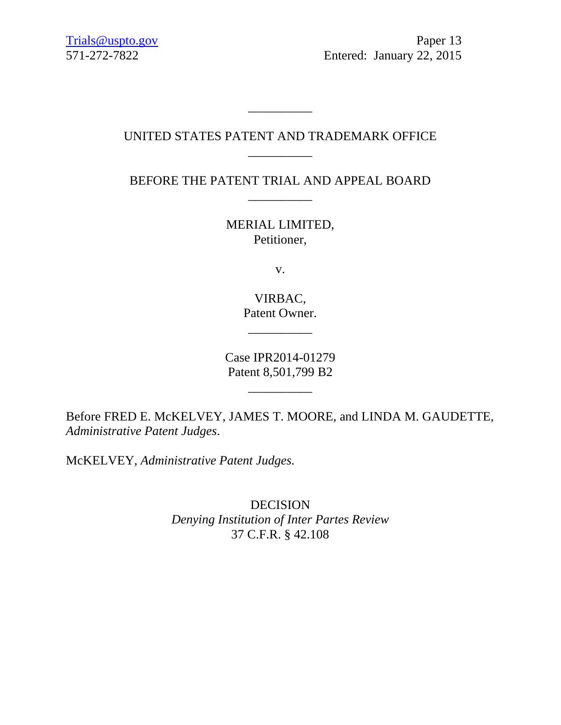[Trials@uspto.gov](mailto:Trials@uspto.gov) Paper 13 571-272-7822 Entered: January 22, 2015

## UNITED STATES PATENT AND TRADEMARK OFFICE \_\_\_\_\_\_\_\_\_\_

\_\_\_\_\_\_\_\_\_\_

BEFORE THE PATENT TRIAL AND APPEAL BOARD \_\_\_\_\_\_\_\_\_\_

> MERIAL LIMITED, Petitioner,

> > v.

VIRBAC, Patent Owner.

 $\overline{\phantom{a}}$  , where  $\overline{\phantom{a}}$  , where  $\overline{\phantom{a}}$  , where  $\overline{\phantom{a}}$ 

Case IPR2014-01279 Patent 8,501,799 B2

\_\_\_\_\_\_\_\_\_\_

Before FRED E. McKELVEY, JAMES T. MOORE, and LINDA M. GAUDETTE, *Administrative Patent Judges*.

McKELVEY, *Administrative Patent Judges.*

**DECISION** *Denying Institution of Inter Partes Review* 37 C.F.R. § 42.108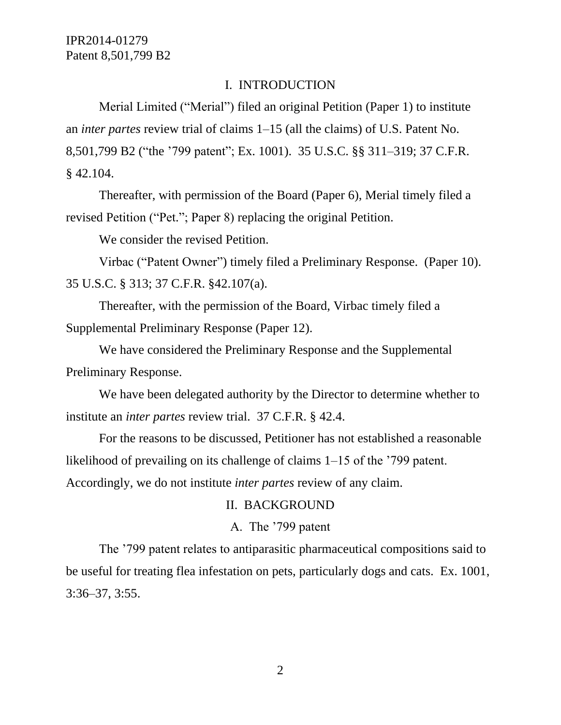#### I. INTRODUCTION

Merial Limited ("Merial") filed an original Petition (Paper 1) to institute an *inter partes* review trial of claims 1–15 (all the claims) of U.S. Patent No. 8,501,799 B2 ("the '799 patent"; Ex. 1001). 35 U.S.C. §§ 311–319; 37 C.F.R. § 42.104.

Thereafter, with permission of the Board (Paper 6), Merial timely filed a revised Petition ("Pet."; Paper 8) replacing the original Petition.

We consider the revised Petition.

Virbac ("Patent Owner") timely filed a Preliminary Response. (Paper 10). 35 U.S.C. § 313; 37 C.F.R. §42.107(a).

Thereafter, with the permission of the Board, Virbac timely filed a Supplemental Preliminary Response (Paper 12).

We have considered the Preliminary Response and the Supplemental Preliminary Response.

We have been delegated authority by the Director to determine whether to institute an *inter partes* review trial. 37 C.F.R. § 42.4.

For the reasons to be discussed, Petitioner has not established a reasonable likelihood of prevailing on its challenge of claims 1–15 of the '799 patent. Accordingly, we do not institute *inter partes* review of any claim.

#### II. BACKGROUND

## A. The '799 patent

The '799 patent relates to antiparasitic pharmaceutical compositions said to be useful for treating flea infestation on pets, particularly dogs and cats. Ex. 1001, 3:36–37, 3:55.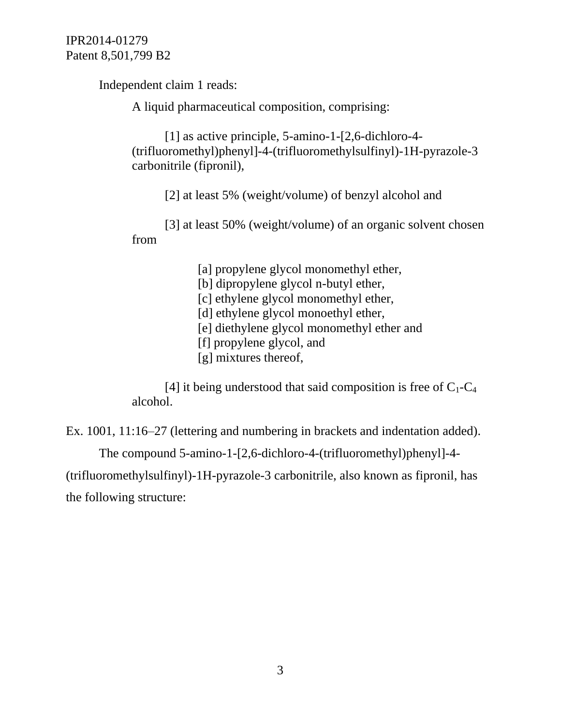Independent claim 1 reads:

A liquid pharmaceutical composition, comprising:

[1] as active principle, 5-amino-1-[2,6-dichloro-4- (trifluoromethyl)phenyl]-4-(trifluoromethylsulfinyl)-1H-pyrazole-3 carbonitrile (fipronil),

[2] at least 5% (weight/volume) of benzyl alcohol and

[3] at least 50% (weight/volume) of an organic solvent chosen from

> [a] propylene glycol monomethyl ether, [b] dipropylene glycol n-butyl ether, [c] ethylene glycol monomethyl ether, [d] ethylene glycol monoethyl ether, [e] diethylene glycol monomethyl ether and [f] propylene glycol, and [g] mixtures thereof,

[4] it being understood that said composition is free of  $C_1-C_4$ alcohol.

Ex. 1001, 11:16–27 (lettering and numbering in brackets and indentation added).

The compound 5-amino-1-[2,6-dichloro-4-(trifluoromethyl)phenyl]-4-

(trifluoromethylsulfinyl)-1H-pyrazole-3 carbonitrile, also known as fipronil, has the following structure: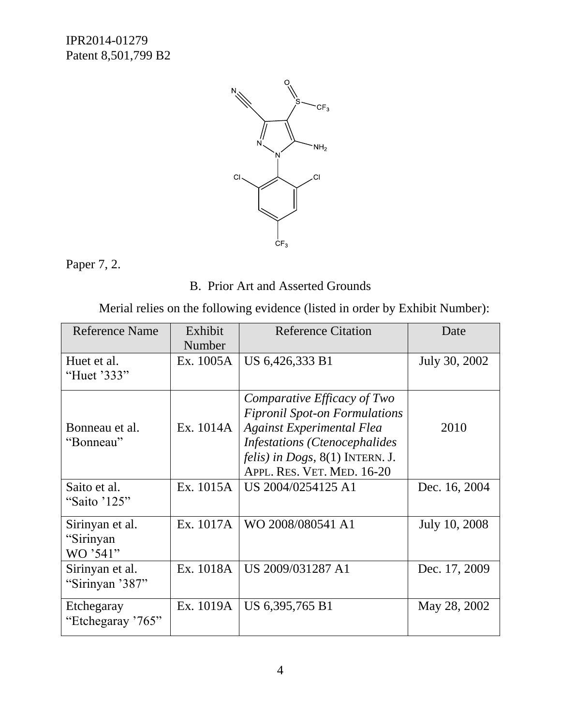

Paper 7, 2.

B. Prior Art and Asserted Grounds

Merial relies on the following evidence (listed in order by Exhibit Number):

| <b>Reference Name</b>                    | Exhibit   | <b>Reference Citation</b>                                                                                                                                                                                                          | Date          |
|------------------------------------------|-----------|------------------------------------------------------------------------------------------------------------------------------------------------------------------------------------------------------------------------------------|---------------|
|                                          | Number    |                                                                                                                                                                                                                                    |               |
| Huet et al.<br>"Huet '333"               | Ex. 1005A | US 6,426,333 B1                                                                                                                                                                                                                    | July 30, 2002 |
|                                          |           |                                                                                                                                                                                                                                    |               |
| Bonneau et al.<br>"Bonneau"              | Ex. 1014A | Comparative Efficacy of Two<br><b>Fipronil Spot-on Formulations</b><br><b>Against Experimental Flea</b><br><b>Infestations (Ctenocephalides</b><br><i>felis</i> ) in <i>Dogs</i> , $8(1)$ INTERN. J.<br>APPL. RES. VET. MED. 16-20 | 2010          |
| Saito et al.<br>"Saito '125"             | Ex. 1015A | US 2004/0254125 A1                                                                                                                                                                                                                 | Dec. 16, 2004 |
| Sirinyan et al.<br>"Sirinyan<br>WO '541" | Ex. 1017A | WO 2008/080541 A1                                                                                                                                                                                                                  | July 10, 2008 |
| Sirinyan et al.<br>"Sirinyan '387"       | Ex. 1018A | US 2009/031287 A1                                                                                                                                                                                                                  | Dec. 17, 2009 |
| Etchegaray<br>"Etchegaray '765"          | Ex. 1019A | US 6,395,765 B1                                                                                                                                                                                                                    | May 28, 2002  |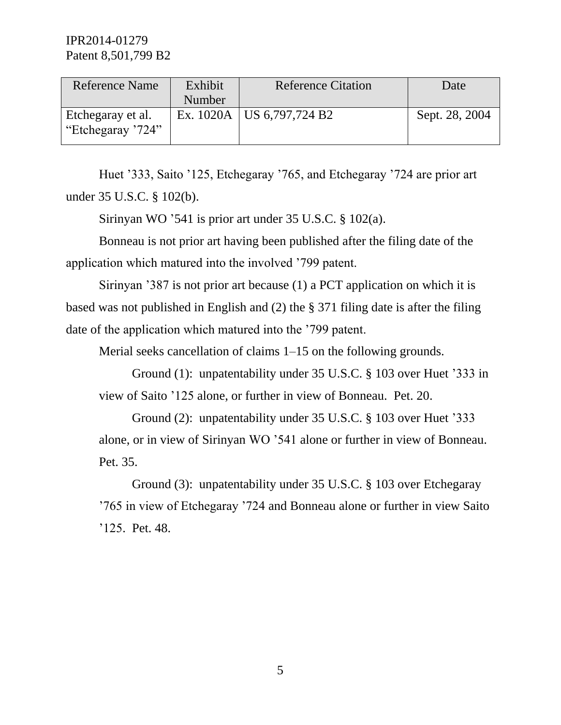| <b>Reference Name</b>                  | Exhibit | <b>Reference Citation</b>   | Date           |
|----------------------------------------|---------|-----------------------------|----------------|
|                                        | Number  |                             |                |
| Etchegaray et al.<br>"Etchegaray '724" |         | Ex. 1020A   US 6,797,724 B2 | Sept. 28, 2004 |

Huet '333, Saito '125, Etchegaray '765, and Etchegaray '724 are prior art under 35 U.S.C. § 102(b).

Sirinyan WO '541 is prior art under 35 U.S.C. § 102(a).

Bonneau is not prior art having been published after the filing date of the application which matured into the involved '799 patent.

Sirinyan '387 is not prior art because (1) a PCT application on which it is based was not published in English and (2) the § 371 filing date is after the filing date of the application which matured into the '799 patent.

Merial seeks cancellation of claims 1–15 on the following grounds.

Ground (1): unpatentability under 35 U.S.C. § 103 over Huet '333 in view of Saito '125 alone, or further in view of Bonneau. Pet. 20.

Ground (2): unpatentability under 35 U.S.C. § 103 over Huet '333 alone, or in view of Sirinyan WO '541 alone or further in view of Bonneau. Pet. 35.

Ground (3): unpatentability under 35 U.S.C. § 103 over Etchegaray '765 in view of Etchegaray '724 and Bonneau alone or further in view Saito '125. Pet. 48.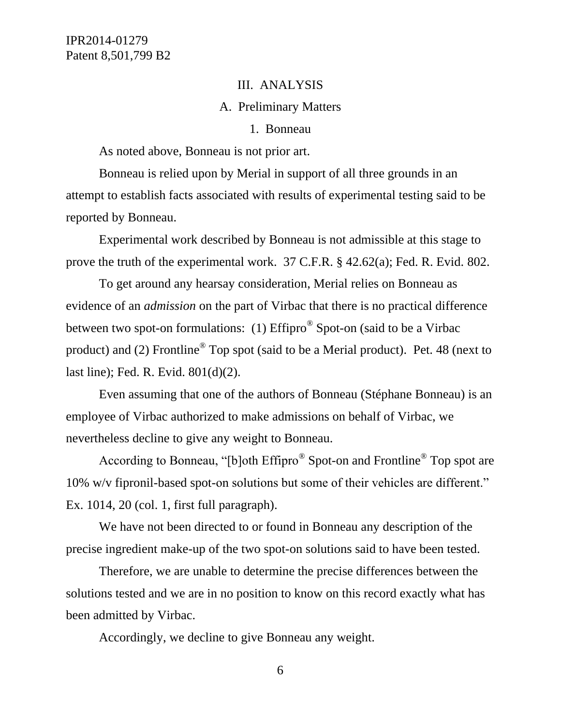#### III. ANALYSIS

#### A. Preliminary Matters

#### 1. Bonneau

As noted above, Bonneau is not prior art.

Bonneau is relied upon by Merial in support of all three grounds in an attempt to establish facts associated with results of experimental testing said to be reported by Bonneau.

Experimental work described by Bonneau is not admissible at this stage to prove the truth of the experimental work. 37 C.F.R. § 42.62(a); Fed. R. Evid. 802.

To get around any hearsay consideration, Merial relies on Bonneau as evidence of an *admission* on the part of Virbac that there is no practical difference between two spot-on formulations: (1) Effipro<sup>®</sup> Spot-on (said to be a Virbac product) and (2) Frontline<sup>®</sup> Top spot (said to be a Merial product). Pet. 48 (next to last line); Fed. R. Evid. 801(d)(2).

Even assuming that one of the authors of Bonneau (Stéphane Bonneau) is an employee of Virbac authorized to make admissions on behalf of Virbac, we nevertheless decline to give any weight to Bonneau.

According to Bonneau, "[b]oth Effipro<sup>®</sup> Spot-on and Frontline<sup>®</sup> Top spot are 10% w/v fipronil-based spot-on solutions but some of their vehicles are different." Ex. 1014, 20 (col. 1, first full paragraph).

We have not been directed to or found in Bonneau any description of the precise ingredient make-up of the two spot-on solutions said to have been tested.

Therefore, we are unable to determine the precise differences between the solutions tested and we are in no position to know on this record exactly what has been admitted by Virbac.

Accordingly, we decline to give Bonneau any weight.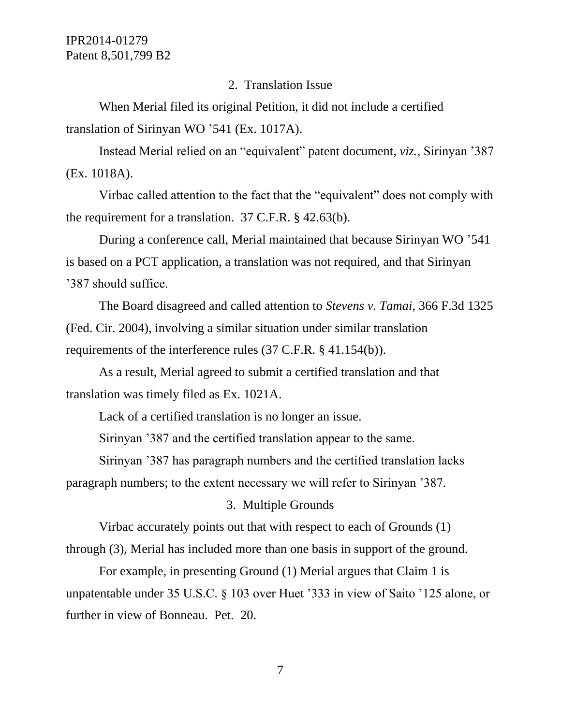#### 2. Translation Issue

When Merial filed its original Petition, it did not include a certified translation of Sirinyan WO '541 (Ex. 1017A).

Instead Merial relied on an "equivalent" patent document, *viz.*, Sirinyan '387 (Ex. 1018A).

Virbac called attention to the fact that the "equivalent" does not comply with the requirement for a translation. 37 C.F.R. § 42.63(b).

During a conference call, Merial maintained that because Sirinyan WO '541 is based on a PCT application, a translation was not required, and that Sirinyan '387 should suffice.

The Board disagreed and called attention to *Stevens v. Tamai*, 366 F.3d 1325 (Fed. Cir. 2004), involving a similar situation under similar translation requirements of the interference rules (37 C.F.R. § 41.154(b)).

As a result, Merial agreed to submit a certified translation and that translation was timely filed as Ex. 1021A.

Lack of a certified translation is no longer an issue.

Sirinyan '387 and the certified translation appear to the same.

Sirinyan '387 has paragraph numbers and the certified translation lacks paragraph numbers; to the extent necessary we will refer to Sirinyan '387.

#### 3. Multiple Grounds

Virbac accurately points out that with respect to each of Grounds (1) through (3), Merial has included more than one basis in support of the ground.

For example, in presenting Ground (1) Merial argues that Claim 1 is unpatentable under 35 U.S.C. § 103 over Huet '333 in view of Saito '125 alone, or further in view of Bonneau. Pet. 20.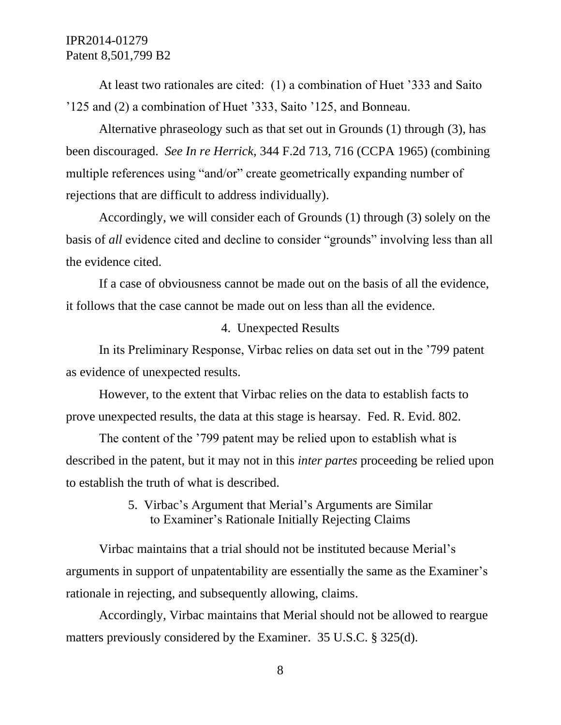At least two rationales are cited: (1) a combination of Huet '333 and Saito '125 and (2) a combination of Huet '333, Saito '125, and Bonneau.

Alternative phraseology such as that set out in Grounds (1) through (3), has been discouraged. *See In re Herrick*, 344 F.2d 713, 716 (CCPA 1965) (combining multiple references using "and/or" create geometrically expanding number of rejections that are difficult to address individually).

Accordingly, we will consider each of Grounds (1) through (3) solely on the basis of *all* evidence cited and decline to consider "grounds" involving less than all the evidence cited.

If a case of obviousness cannot be made out on the basis of all the evidence, it follows that the case cannot be made out on less than all the evidence.

#### 4. Unexpected Results

In its Preliminary Response, Virbac relies on data set out in the '799 patent as evidence of unexpected results.

However, to the extent that Virbac relies on the data to establish facts to prove unexpected results, the data at this stage is hearsay. Fed. R. Evid. 802.

The content of the '799 patent may be relied upon to establish what is described in the patent, but it may not in this *inter partes* proceeding be relied upon to establish the truth of what is described.

## 5. Virbac's Argument that Merial's Arguments are Similar to Examiner's Rationale Initially Rejecting Claims

Virbac maintains that a trial should not be instituted because Merial's arguments in support of unpatentability are essentially the same as the Examiner's rationale in rejecting, and subsequently allowing, claims.

Accordingly, Virbac maintains that Merial should not be allowed to reargue matters previously considered by the Examiner. 35 U.S.C. § 325(d).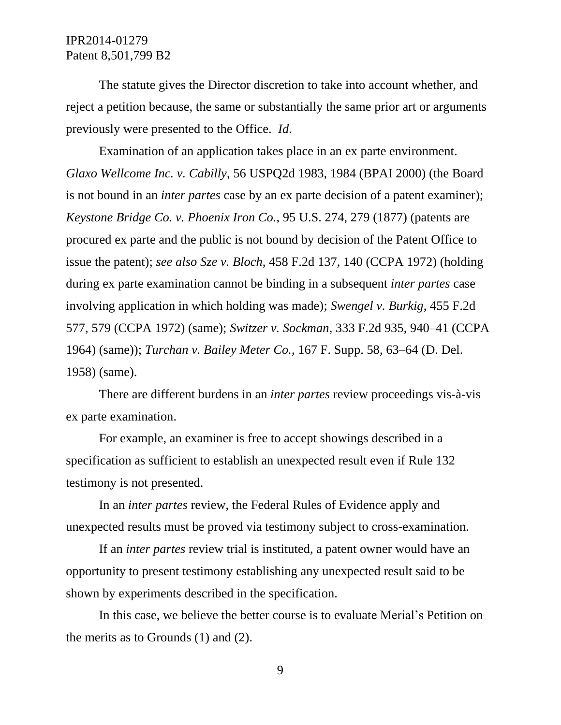The statute gives the Director discretion to take into account whether, and reject a petition because, the same or substantially the same prior art or arguments previously were presented to the Office. *Id*.

Examination of an application takes place in an ex parte environment. *Glaxo Wellcome Inc. v. Cabilly*, 56 USPQ2d 1983, 1984 (BPAI 2000) (the Board is not bound in an *inter partes* case by an ex parte decision of a patent examiner); *Keystone Bridge Co. v. Phoenix Iron Co.*, 95 U.S. 274, 279 (1877) (patents are procured ex parte and the public is not bound by decision of the Patent Office to issue the patent); *see also Sze v. Bloch*, 458 F.2d 137, 140 (CCPA 1972) (holding during ex parte examination cannot be binding in a subsequent *inter partes* case involving application in which holding was made); *Swengel v. Burkig*, 455 F.2d 577, 579 (CCPA 1972) (same); *Switzer v. Sockman*, 333 F.2d 935, 940–41 (CCPA 1964) (same)); *Turchan v. Bailey Meter Co.*, 167 F. Supp. 58, 63–64 (D. Del. 1958) (same).

There are different burdens in an *inter partes* review proceedings vis-à-vis ex parte examination.

For example, an examiner is free to accept showings described in a specification as sufficient to establish an unexpected result even if Rule 132 testimony is not presented.

In an *inter partes* review, the Federal Rules of Evidence apply and unexpected results must be proved via testimony subject to cross-examination.

If an *inter partes* review trial is instituted, a patent owner would have an opportunity to present testimony establishing any unexpected result said to be shown by experiments described in the specification.

In this case, we believe the better course is to evaluate Merial's Petition on the merits as to Grounds (1) and (2).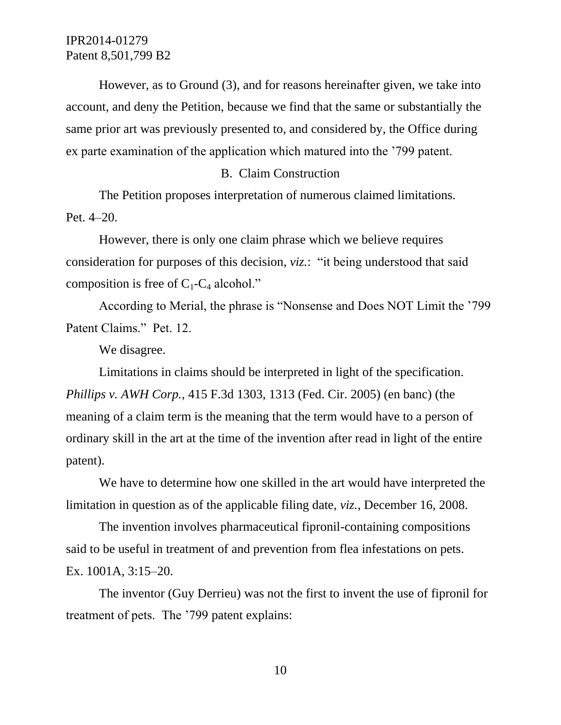However, as to Ground (3), and for reasons hereinafter given, we take into account, and deny the Petition, because we find that the same or substantially the same prior art was previously presented to, and considered by, the Office during ex parte examination of the application which matured into the '799 patent.

#### B. Claim Construction

The Petition proposes interpretation of numerous claimed limitations. Pet. 4–20.

However, there is only one claim phrase which we believe requires consideration for purposes of this decision, *viz.*: "it being understood that said composition is free of  $C_1$ - $C_4$  alcohol."

According to Merial, the phrase is "Nonsense and Does NOT Limit the '799 Patent Claims." Pet. 12.

We disagree.

Limitations in claims should be interpreted in light of the specification. *Phillips v. AWH Corp.*, 415 F.3d 1303, 1313 (Fed. Cir. 2005) (en banc) (the meaning of a claim term is the meaning that the term would have to a person of ordinary skill in the art at the time of the invention after read in light of the entire patent).

We have to determine how one skilled in the art would have interpreted the limitation in question as of the applicable filing date, *viz.*, December 16, 2008.

The invention involves pharmaceutical fipronil-containing compositions said to be useful in treatment of and prevention from flea infestations on pets. Ex. 1001A, 3:15–20.

The inventor (Guy Derrieu) was not the first to invent the use of fipronil for treatment of pets. The '799 patent explains: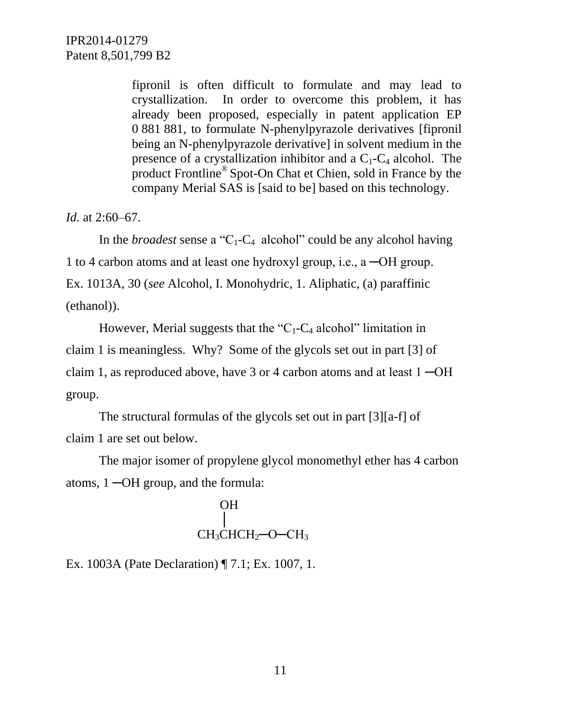fipronil is often difficult to formulate and may lead to crystallization. In order to overcome this problem, it has already been proposed, especially in patent application EP 0 881 881, to formulate N-phenylpyrazole derivatives [fipronil being an N-phenylpyrazole derivative] in solvent medium in the presence of a crystallization inhibitor and a  $C_1$ - $C_4$  alcohol. The product Frontline® Spot-On Chat et Chien, sold in France by the company Merial SAS is [said to be] based on this technology.

*Id.* at 2:60–67.

In the *broadest* sense a "C<sub>1</sub>-C<sub>4</sub> alcohol" could be any alcohol having 1 to 4 carbon atoms and at least one hydroxyl group, i.e., a ─OH group. Ex. 1013A, 30 (*see* Alcohol, I. Monohydric, 1. Aliphatic, (a) paraffinic (ethanol)).

However, Merial suggests that the " $C_1$ - $C_4$  alcohol" limitation in claim 1 is meaningless. Why? Some of the glycols set out in part [3] of claim 1, as reproduced above, have 3 or 4 carbon atoms and at least 1 ─OH group.

The structural formulas of the glycols set out in part [3][a-f] of claim 1 are set out below.

The major isomer of propylene glycol monomethyl ether has 4 carbon atoms, 1 ─OH group, and the formula:

$$
\begin{array}{c}\n\text{OH} \\
|\text{CH}_3\text{CHCH}_2\text{--O--CH}_3\n\end{array}
$$

Ex. 1003A (Pate Declaration) ¶ 7.1; Ex. 1007, 1.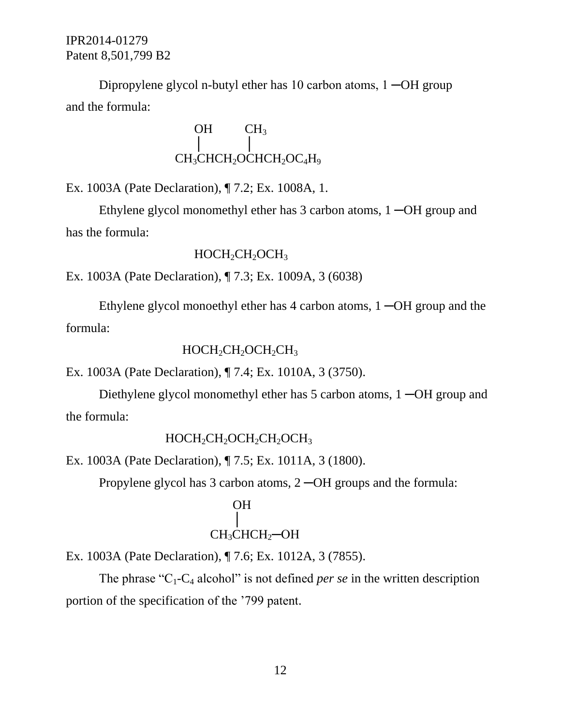Dipropylene glycol n-butyl ether has 10 carbon atoms, 1 ─OH group and the formula:

$$
\begin{array}{c}\n\text{OH} & \text{CH}_3 \\
\downarrow & \downarrow \\
\text{CH}_3\text{CHCH}_2\text{OCHCH}_2\text{OC}_4\text{H}_9\n\end{array}
$$

Ex. 1003A (Pate Declaration), ¶ 7.2; Ex. 1008A, 1.

Ethylene glycol monomethyl ether has 3 carbon atoms, 1 ─OH group and has the formula:

### $HOCH<sub>2</sub>CH<sub>2</sub>OCH<sub>3</sub>$

Ex. 1003A (Pate Declaration), ¶ 7.3; Ex. 1009A, 3 (6038)

Ethylene glycol monoethyl ether has 4 carbon atoms, 1 ─OH group and the formula:

### $HOCH_2CH_2OCH_2CH_3$

Ex. 1003A (Pate Declaration), ¶ 7.4; Ex. 1010A, 3 (3750).

Diethylene glycol monomethyl ether has 5 carbon atoms, 1 ─OH group and the formula:

## HOCH<sub>2</sub>CH<sub>2</sub>OCH<sub>2</sub>CH<sub>2</sub>OCH<sub>3</sub>

Ex. 1003A (Pate Declaration), ¶ 7.5; Ex. 1011A, 3 (1800).

Propylene glycol has 3 carbon atoms, 2 ─OH groups and the formula:

## OH │ CH<sub>3</sub>CHCH<sub>2</sub>-OH

Ex. 1003A (Pate Declaration), ¶ 7.6; Ex. 1012A, 3 (7855).

The phrase " $C_1$ - $C_4$  alcohol" is not defined *per se* in the written description portion of the specification of the '799 patent.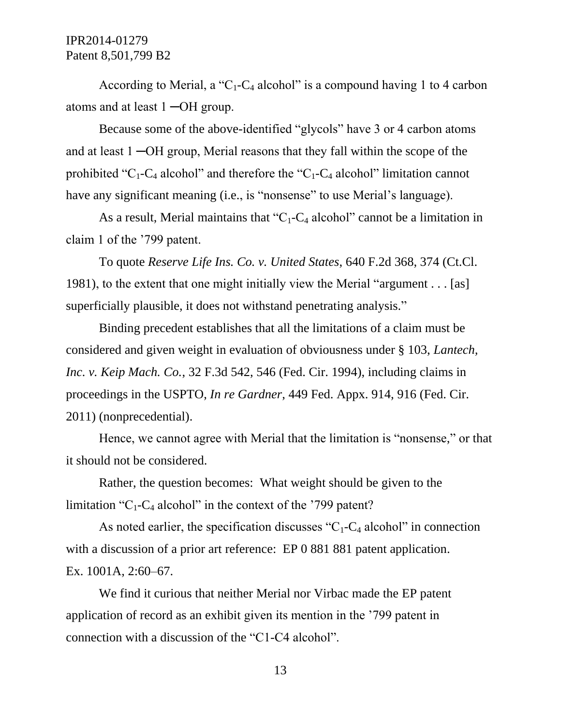According to Merial, a " $C_1$ - $C_4$  alcohol" is a compound having 1 to 4 carbon atoms and at least 1 ─OH group.

Because some of the above-identified "glycols" have 3 or 4 carbon atoms and at least 1 ─OH group, Merial reasons that they fall within the scope of the prohibited "C<sub>1</sub>-C<sub>4</sub> alcohol" and therefore the "C<sub>1</sub>-C<sub>4</sub> alcohol" limitation cannot have any significant meaning (i.e., is "nonsense" to use Merial's language).

As a result, Merial maintains that " $C_1$ - $C_4$  alcohol" cannot be a limitation in claim 1 of the '799 patent.

To quote *Reserve Life Ins. Co. v. United States*, 640 F.2d 368, 374 (Ct.Cl. 1981), to the extent that one might initially view the Merial "argument . . . [as] superficially plausible, it does not withstand penetrating analysis."

Binding precedent establishes that all the limitations of a claim must be considered and given weight in evaluation of obviousness under § 103, *Lantech, Inc. v. Keip Mach. Co.*, 32 F.3d 542, 546 (Fed. Cir. 1994), including claims in proceedings in the USPTO, *In re Gardner*, 449 Fed. Appx. 914, 916 (Fed. Cir. 2011) (nonprecedential).

Hence, we cannot agree with Merial that the limitation is "nonsense," or that it should not be considered.

Rather, the question becomes: What weight should be given to the limitation " $C_1$ - $C_4$  alcohol" in the context of the '799 patent?

As noted earlier, the specification discusses " $C_1$ - $C_4$  alcohol" in connection with a discussion of a prior art reference: EP 0 881 881 patent application. Ex. 1001A, 2:60–67.

We find it curious that neither Merial nor Virbac made the EP patent application of record as an exhibit given its mention in the '799 patent in connection with a discussion of the "C1-C4 alcohol".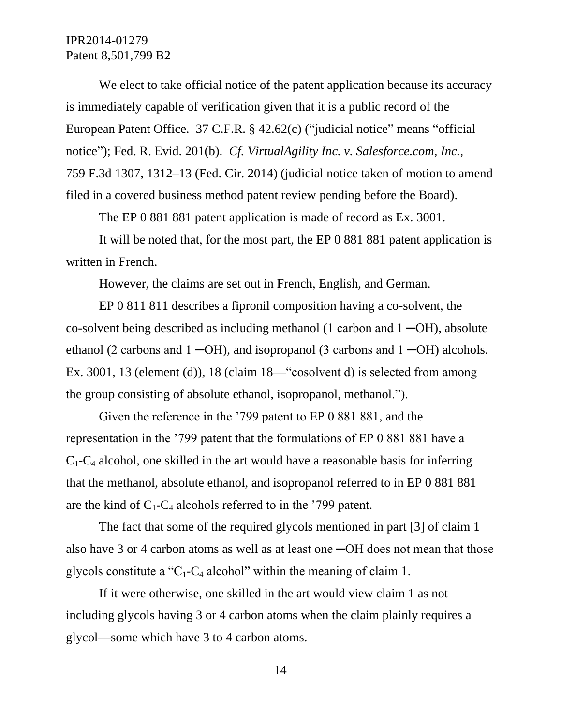We elect to take official notice of the patent application because its accuracy is immediately capable of verification given that it is a public record of the European Patent Office. 37 C.F.R. § 42.62(c) ("judicial notice" means "official notice"); Fed. R. Evid. 201(b). *Cf. VirtualAgility Inc. v. Salesforce.com, Inc.*, 759 F.3d 1307, 1312–13 (Fed. Cir. 2014) (judicial notice taken of motion to amend filed in a covered business method patent review pending before the Board).

The EP 0 881 881 patent application is made of record as Ex. 3001.

It will be noted that, for the most part, the EP 0 881 881 patent application is written in French.

However, the claims are set out in French, English, and German.

EP 0 811 811 describes a fipronil composition having a co-solvent, the co-solvent being described as including methanol (1 carbon and  $1 - OH$ ), absolute ethanol (2 carbons and  $1 - OH$ ), and isopropanol (3 carbons and  $1 - OH$ ) alcohols. Ex. 3001, 13 (element (d)), 18 (claim 18—"cosolvent d) is selected from among the group consisting of absolute ethanol, isopropanol, methanol.").

Given the reference in the '799 patent to EP 0 881 881, and the representation in the '799 patent that the formulations of EP 0 881 881 have a  $C_1$ - $C_4$  alcohol, one skilled in the art would have a reasonable basis for inferring that the methanol, absolute ethanol, and isopropanol referred to in EP 0 881 881 are the kind of  $C_1$ - $C_4$  alcohols referred to in the '799 patent.

The fact that some of the required glycols mentioned in part [3] of claim 1 also have 3 or 4 carbon atoms as well as at least one ─OH does not mean that those glycols constitute a "C<sub>1</sub>-C<sub>4</sub> alcohol" within the meaning of claim 1.

If it were otherwise, one skilled in the art would view claim 1 as not including glycols having 3 or 4 carbon atoms when the claim plainly requires a glycol—some which have 3 to 4 carbon atoms.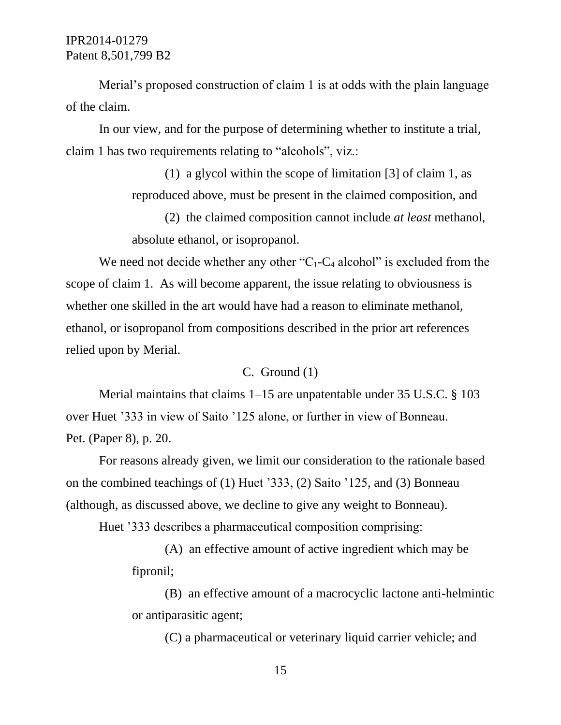Merial's proposed construction of claim 1 is at odds with the plain language of the claim.

In our view, and for the purpose of determining whether to institute a trial, claim 1 has two requirements relating to "alcohols", viz.:

> (1) a glycol within the scope of limitation [3] of claim 1, as reproduced above, must be present in the claimed composition, and

(2) the claimed composition cannot include *at least* methanol, absolute ethanol, or isopropanol.

We need not decide whether any other " $C_1$ - $C_4$  alcohol" is excluded from the scope of claim 1. As will become apparent, the issue relating to obviousness is whether one skilled in the art would have had a reason to eliminate methanol, ethanol, or isopropanol from compositions described in the prior art references relied upon by Merial.

### C. Ground (1)

Merial maintains that claims 1–15 are unpatentable under 35 U.S.C. § 103 over Huet '333 in view of Saito '125 alone, or further in view of Bonneau. Pet. (Paper 8), p. 20.

For reasons already given, we limit our consideration to the rationale based on the combined teachings of (1) Huet '333, (2) Saito '125, and (3) Bonneau (although, as discussed above, we decline to give any weight to Bonneau).

Huet '333 describes a pharmaceutical composition comprising:

(A) an effective amount of active ingredient which may be fipronil;

(B) an effective amount of a macrocyclic lactone anti-helmintic or antiparasitic agent;

(C) a pharmaceutical or veterinary liquid carrier vehicle; and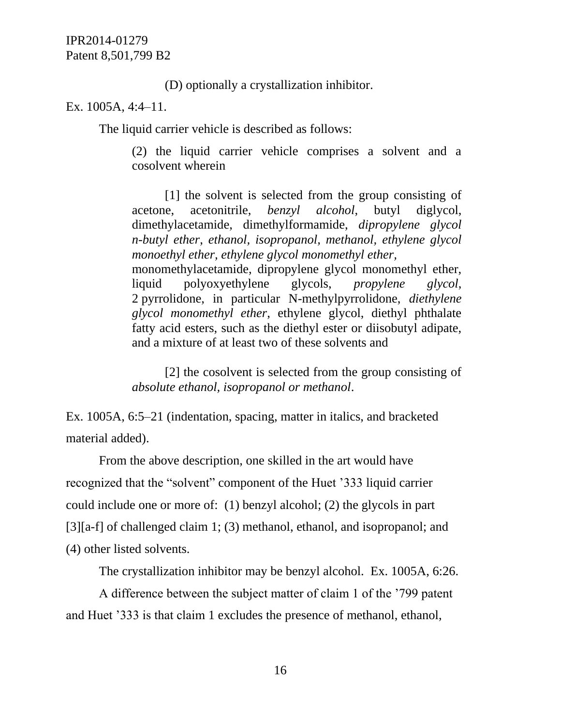(D) optionally a crystallization inhibitor.

Ex. 1005A, 4:4–11.

The liquid carrier vehicle is described as follows:

(2) the liquid carrier vehicle comprises a solvent and a cosolvent wherein

[1] the solvent is selected from the group consisting of acetone, acetonitrile, *benzyl alcohol*, butyl diglycol, dimethylacetamide, dimethylformamide, *dipropylene glycol n-butyl ether*, *ethanol, isopropanol, methanol, ethylene glycol monoethyl ether, ethylene glycol monomethyl ether,* monomethylacetamide, dipropylene glycol monomethyl ether, liquid polyoxyethylene glycols, *propylene glycol*, 2 pyrrolidone, in particular N-methylpyrrolidone, *diethylene glycol monomethyl ether*, ethylene glycol, diethyl phthalate fatty acid esters, such as the diethyl ester or diisobutyl adipate, and a mixture of at least two of these solvents and

[2] the cosolvent is selected from the group consisting of *absolute ethanol, isopropanol or methanol*.

Ex. 1005A, 6:5–21 (indentation, spacing, matter in italics, and bracketed material added).

From the above description, one skilled in the art would have recognized that the "solvent" component of the Huet '333 liquid carrier could include one or more of: (1) benzyl alcohol; (2) the glycols in part [3][a-f] of challenged claim 1; (3) methanol, ethanol, and isopropanol; and (4) other listed solvents.

The crystallization inhibitor may be benzyl alcohol. Ex. 1005A, 6:26.

A difference between the subject matter of claim 1 of the '799 patent and Huet '333 is that claim 1 excludes the presence of methanol, ethanol,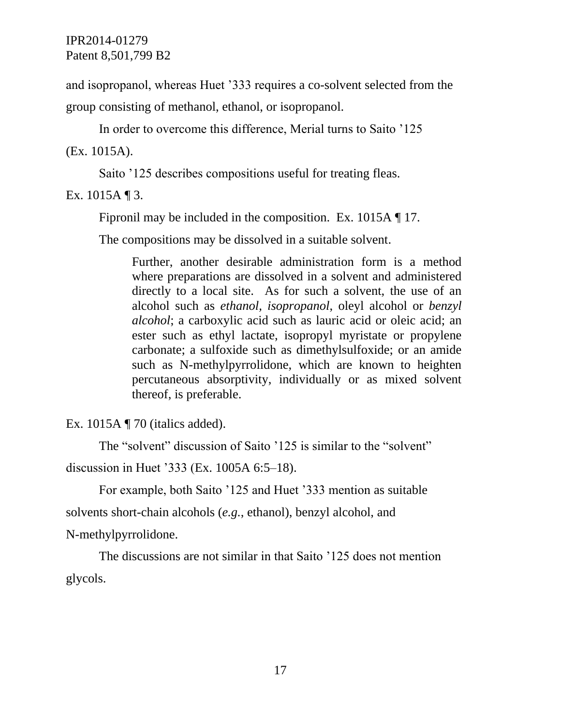and isopropanol, whereas Huet '333 requires a co-solvent selected from the

group consisting of methanol, ethanol, or isopropanol.

In order to overcome this difference, Merial turns to Saito '125

(Ex. 1015A).

Saito '125 describes compositions useful for treating fleas.

Ex. 1015A  $\P$ 3.

Fipronil may be included in the composition. Ex. 1015A ¶ 17.

The compositions may be dissolved in a suitable solvent.

Further, another desirable administration form is a method where preparations are dissolved in a solvent and administered directly to a local site. As for such a solvent, the use of an alcohol such as *ethanol, isopropanol*, oleyl alcohol or *benzyl alcohol*; a carboxylic acid such as lauric acid or oleic acid; an ester such as ethyl lactate, isopropyl myristate or propylene carbonate; a sulfoxide such as dimethylsulfoxide; or an amide such as N-methylpyrrolidone, which are known to heighten percutaneous absorptivity, individually or as mixed solvent thereof, is preferable.

Ex. 1015A ¶ 70 (italics added).

The "solvent" discussion of Saito '125 is similar to the "solvent"

discussion in Huet '333 (Ex. 1005A 6:5–18).

For example, both Saito '125 and Huet '333 mention as suitable solvents short-chain alcohols (*e.g.*, ethanol), benzyl alcohol, and

N-methylpyrrolidone.

The discussions are not similar in that Saito '125 does not mention glycols.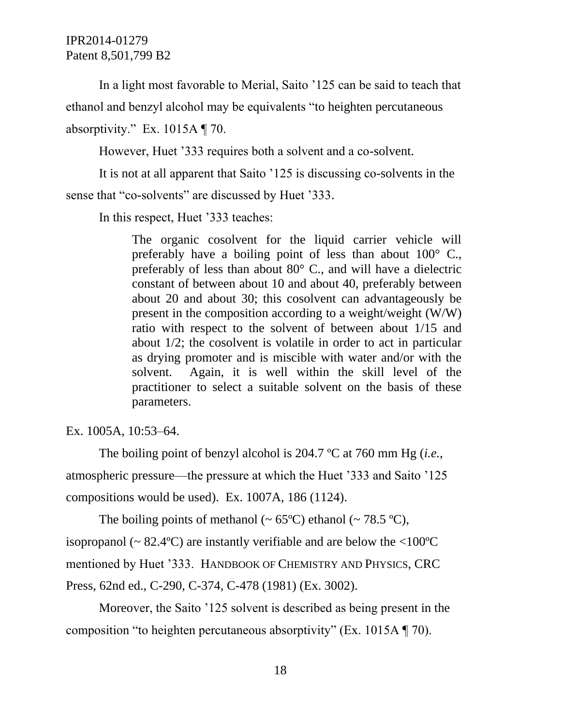In a light most favorable to Merial, Saito '125 can be said to teach that ethanol and benzyl alcohol may be equivalents "to heighten percutaneous absorptivity." Ex. 1015A ¶ 70.

However, Huet '333 requires both a solvent and a co-solvent.

It is not at all apparent that Saito '125 is discussing co-solvents in the sense that "co-solvents" are discussed by Huet '333.

In this respect, Huet '333 teaches:

The organic cosolvent for the liquid carrier vehicle will preferably have a boiling point of less than about 100° C., preferably of less than about 80° C., and will have a dielectric constant of between about 10 and about 40, preferably between about 20 and about 30; this cosolvent can advantageously be present in the composition according to a weight/weight (W/W) ratio with respect to the solvent of between about 1/15 and about 1/2; the cosolvent is volatile in order to act in particular as drying promoter and is miscible with water and/or with the solvent. Again, it is well within the skill level of the practitioner to select a suitable solvent on the basis of these parameters.

Ex. 1005A, 10:53–64.

The boiling point of benzyl alcohol is 204.7 ºC at 760 mm Hg (*i.e.*, atmospheric pressure—the pressure at which the Huet '333 and Saito '125 compositions would be used). Ex. 1007A, 186 (1124).

The boiling points of methanol ( $\sim 65^{\circ}$ C) ethanol ( $\sim 78.5^{\circ}$ C), isopropanol ( $\sim 82.4$ °C) are instantly verifiable and are below the <100°C mentioned by Huet '333. HANDBOOK OF CHEMISTRY AND PHYSICS, CRC Press, 62nd ed., C-290, C-374, C-478 (1981) (Ex. 3002).

Moreover, the Saito '125 solvent is described as being present in the composition "to heighten percutaneous absorptivity" (Ex. 1015A ¶ 70).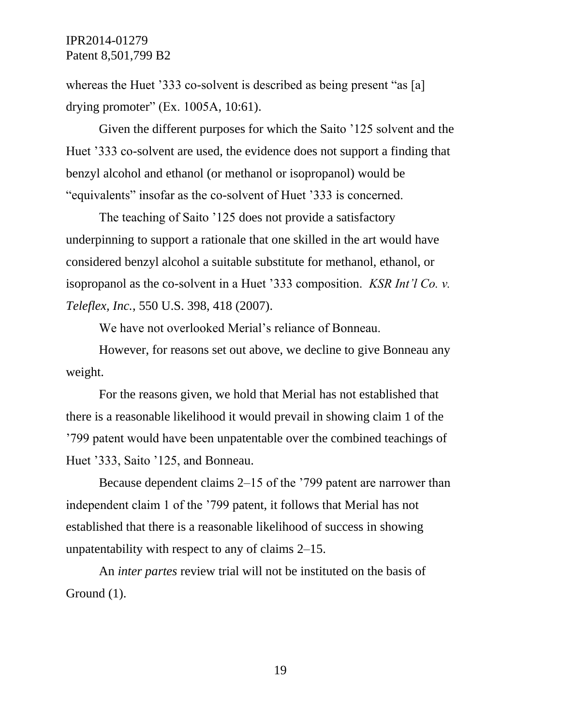whereas the Huet '333 co-solvent is described as being present "as [a] drying promoter" (Ex. 1005A, 10:61).

Given the different purposes for which the Saito '125 solvent and the Huet '333 co-solvent are used, the evidence does not support a finding that benzyl alcohol and ethanol (or methanol or isopropanol) would be "equivalents" insofar as the co-solvent of Huet '333 is concerned.

The teaching of Saito '125 does not provide a satisfactory underpinning to support a rationale that one skilled in the art would have considered benzyl alcohol a suitable substitute for methanol, ethanol, or isopropanol as the co-solvent in a Huet '333 composition. *KSR Int'l Co. v. Teleflex, Inc.*, 550 U.S. 398, 418 (2007).

We have not overlooked Merial's reliance of Bonneau.

However, for reasons set out above, we decline to give Bonneau any weight.

For the reasons given, we hold that Merial has not established that there is a reasonable likelihood it would prevail in showing claim 1 of the '799 patent would have been unpatentable over the combined teachings of Huet '333, Saito '125, and Bonneau.

Because dependent claims 2–15 of the '799 patent are narrower than independent claim 1 of the '799 patent, it follows that Merial has not established that there is a reasonable likelihood of success in showing unpatentability with respect to any of claims 2–15.

An *inter partes* review trial will not be instituted on the basis of Ground (1).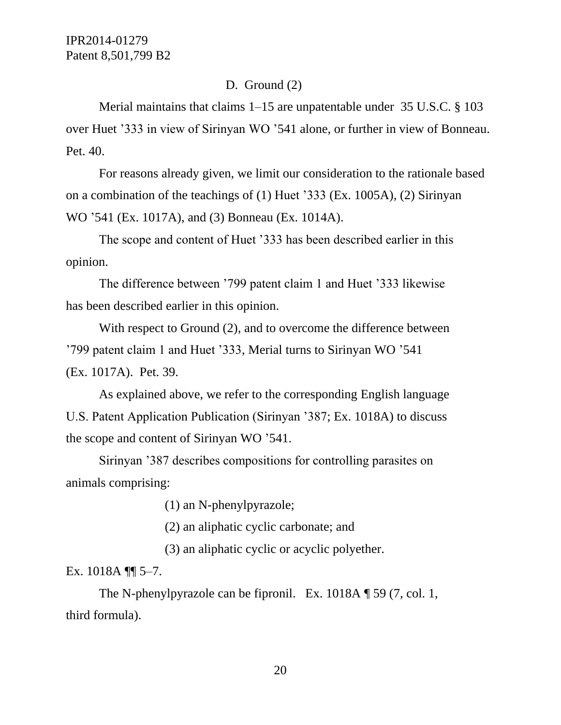### D. Ground (2)

Merial maintains that claims 1–15 are unpatentable under 35 U.S.C. § 103 over Huet '333 in view of Sirinyan WO '541 alone, or further in view of Bonneau. Pet. 40.

For reasons already given, we limit our consideration to the rationale based on a combination of the teachings of (1) Huet '333 (Ex. 1005A), (2) Sirinyan WO '541 (Ex. 1017A), and (3) Bonneau (Ex. 1014A).

The scope and content of Huet '333 has been described earlier in this opinion.

The difference between '799 patent claim 1 and Huet '333 likewise has been described earlier in this opinion.

With respect to Ground (2), and to overcome the difference between '799 patent claim 1 and Huet '333, Merial turns to Sirinyan WO '541 (Ex. 1017A). Pet. 39.

As explained above, we refer to the corresponding English language U.S. Patent Application Publication (Sirinyan '387; Ex. 1018A) to discuss the scope and content of Sirinyan WO '541.

Sirinyan '387 describes compositions for controlling parasites on animals comprising:

(1) an N-phenylpyrazole;

(2) an aliphatic cyclic carbonate; and

(3) an aliphatic cyclic or acyclic polyether.

Ex.  $1018A \sqrt{\frac{9}{15}}$  5–7.

The N-phenylpyrazole can be fipronil. Ex. 1018A ¶ 59 (7, col. 1, third formula).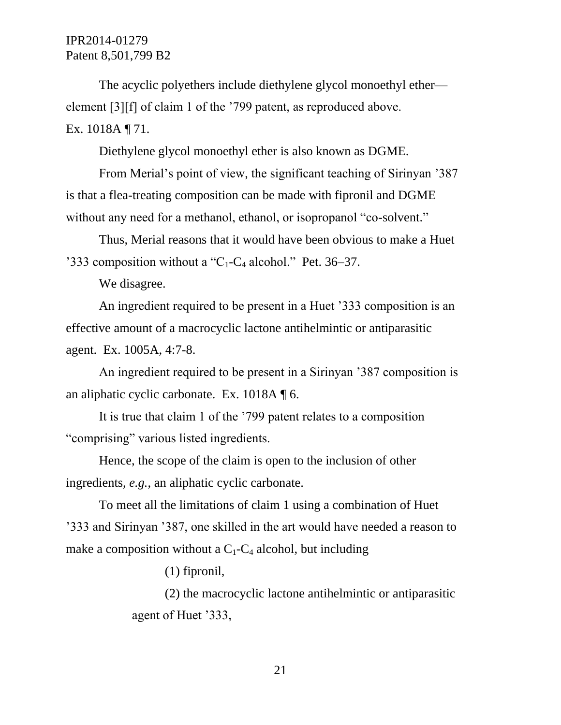The acyclic polyethers include diethylene glycol monoethyl ether element [3][f] of claim 1 of the '799 patent, as reproduced above. Ex. 1018A ¶ 71.

Diethylene glycol monoethyl ether is also known as DGME.

From Merial's point of view, the significant teaching of Sirinyan '387 is that a flea-treating composition can be made with fipronil and DGME without any need for a methanol, ethanol, or isopropanol "co-solvent."

Thus, Merial reasons that it would have been obvious to make a Huet '333 composition without a " $C_1$ - $C_4$  alcohol." Pet. 36–37.

We disagree.

An ingredient required to be present in a Huet '333 composition is an effective amount of a macrocyclic lactone antihelmintic or antiparasitic agent. Ex. 1005A, 4:7-8.

An ingredient required to be present in a Sirinyan '387 composition is an aliphatic cyclic carbonate. Ex. 1018A ¶ 6.

It is true that claim 1 of the '799 patent relates to a composition "comprising" various listed ingredients.

Hence, the scope of the claim is open to the inclusion of other ingredients, *e.g.*, an aliphatic cyclic carbonate.

To meet all the limitations of claim 1 using a combination of Huet '333 and Sirinyan '387, one skilled in the art would have needed a reason to make a composition without a  $C_1$ - $C_4$  alcohol, but including

(1) fipronil,

(2) the macrocyclic lactone antihelmintic or antiparasitic agent of Huet '333,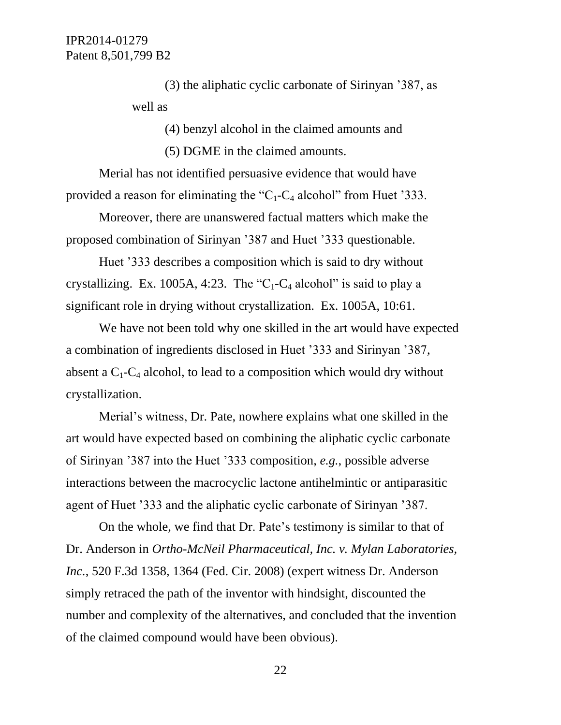(3) the aliphatic cyclic carbonate of Sirinyan '387, as well as

(4) benzyl alcohol in the claimed amounts and

(5) DGME in the claimed amounts.

Merial has not identified persuasive evidence that would have provided a reason for eliminating the "C<sub>1</sub>-C<sub>4</sub> alcohol" from Huet '333.

Moreover, there are unanswered factual matters which make the proposed combination of Sirinyan '387 and Huet '333 questionable.

Huet '333 describes a composition which is said to dry without crystallizing. Ex. 1005A, 4:23. The "C<sub>1</sub>-C<sub>4</sub> alcohol" is said to play a significant role in drying without crystallization. Ex. 1005A, 10:61.

We have not been told why one skilled in the art would have expected a combination of ingredients disclosed in Huet '333 and Sirinyan '387, absent a  $C_1$ - $C_4$  alcohol, to lead to a composition which would dry without crystallization.

Merial's witness, Dr. Pate, nowhere explains what one skilled in the art would have expected based on combining the aliphatic cyclic carbonate of Sirinyan '387 into the Huet '333 composition, *e.g.*, possible adverse interactions between the macrocyclic lactone antihelmintic or antiparasitic agent of Huet '333 and the aliphatic cyclic carbonate of Sirinyan '387.

On the whole, we find that Dr. Pate's testimony is similar to that of Dr. Anderson in *Ortho-McNeil Pharmaceutical, Inc. v. Mylan Laboratories, Inc.*, 520 F.3d 1358, 1364 (Fed. Cir. 2008) (expert witness Dr. Anderson simply retraced the path of the inventor with hindsight, discounted the number and complexity of the alternatives, and concluded that the invention of the claimed compound would have been obvious).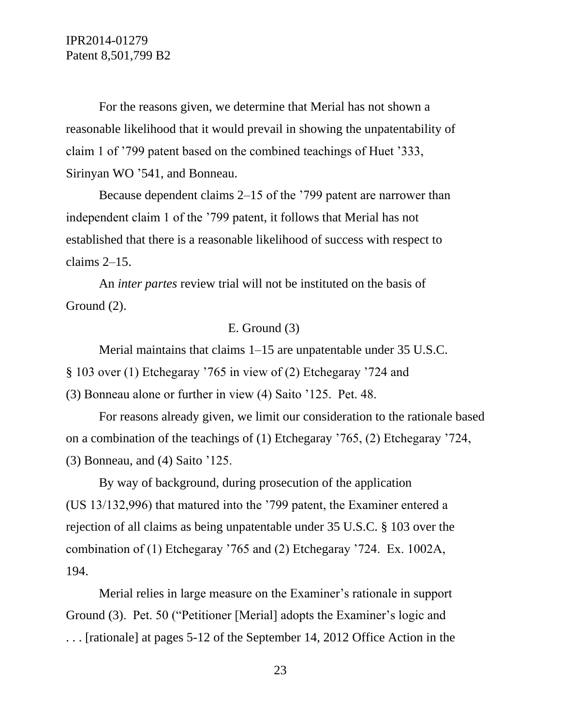For the reasons given, we determine that Merial has not shown a reasonable likelihood that it would prevail in showing the unpatentability of claim 1 of '799 patent based on the combined teachings of Huet '333, Sirinyan WO '541, and Bonneau.

Because dependent claims 2–15 of the '799 patent are narrower than independent claim 1 of the '799 patent, it follows that Merial has not established that there is a reasonable likelihood of success with respect to claims 2–15.

An *inter partes* review trial will not be instituted on the basis of Ground (2).

#### E. Ground (3)

Merial maintains that claims 1–15 are unpatentable under 35 U.S.C. § 103 over (1) Etchegaray '765 in view of (2) Etchegaray '724 and (3) Bonneau alone or further in view (4) Saito '125. Pet. 48.

For reasons already given, we limit our consideration to the rationale based on a combination of the teachings of (1) Etchegaray '765, (2) Etchegaray '724, (3) Bonneau, and (4) Saito '125.

By way of background, during prosecution of the application (US 13/132,996) that matured into the '799 patent, the Examiner entered a rejection of all claims as being unpatentable under 35 U.S.C. § 103 over the combination of (1) Etchegaray '765 and (2) Etchegaray '724. Ex. 1002A, 194.

Merial relies in large measure on the Examiner's rationale in support Ground (3). Pet. 50 ("Petitioner [Merial] adopts the Examiner's logic and . . . [rationale] at pages 5-12 of the September 14, 2012 Office Action in the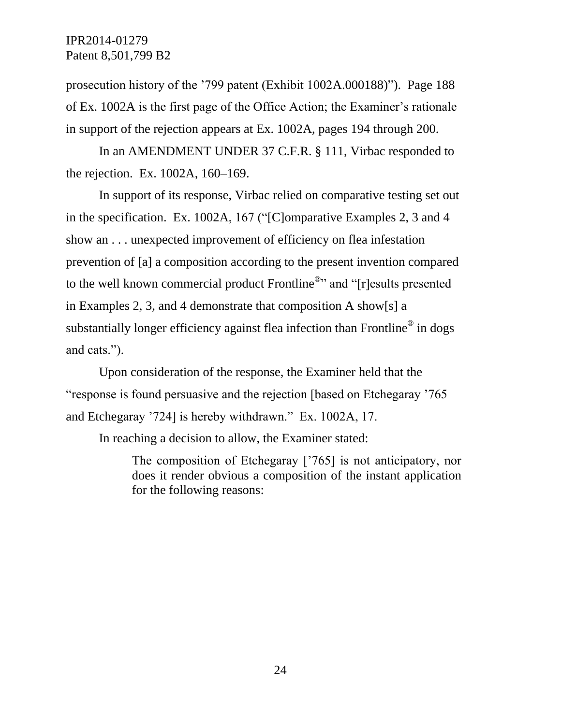prosecution history of the '799 patent (Exhibit 1002A.000188)"). Page 188 of Ex. 1002A is the first page of the Office Action; the Examiner's rationale in support of the rejection appears at Ex. 1002A, pages 194 through 200.

In an AMENDMENT UNDER 37 C.F.R. § 111, Virbac responded to the rejection. Ex. 1002A, 160–169.

In support of its response, Virbac relied on comparative testing set out in the specification. Ex. 1002A, 167 ("[C]omparative Examples 2, 3 and 4 show an . . . unexpected improvement of efficiency on flea infestation prevention of [a] a composition according to the present invention compared to the well known commercial product Frontline<sup>®</sup>" and "[r]esults presented in Examples 2, 3, and 4 demonstrate that composition A show[s] a substantially longer efficiency against flea infection than Frontline $^{\circledR}$  in dogs and cats.").

Upon consideration of the response, the Examiner held that the "response is found persuasive and the rejection [based on Etchegaray '765 and Etchegaray '724] is hereby withdrawn." Ex. 1002A, 17.

In reaching a decision to allow, the Examiner stated:

The composition of Etchegaray ['765] is not anticipatory, nor does it render obvious a composition of the instant application for the following reasons: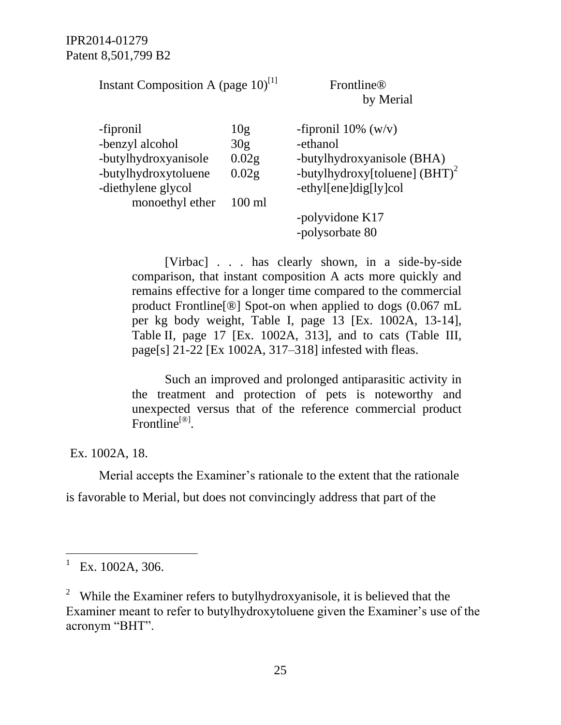Instant Composition A (page  $10$ )<sup>[1]</sup>

## Frontline® by Merial

| -fipronil            | 10g               | -fipronil $10\%$ (w/v)           |
|----------------------|-------------------|----------------------------------|
| -benzyl alcohol      | 30g               | -ethanol                         |
| -butylhydroxyanisole | 0.02 <sub>g</sub> | -butylhydroxyanisole (BHA)       |
| -butylhydroxytoluene | 0.02 <sub>g</sub> | -butylhydroxy[toluene] $(BHT)^2$ |
| -diethylene glycol   |                   | -ethyl[ene]dig[ly]col            |
| monoethyl ether      | $100 \text{ ml}$  |                                  |
|                      |                   | -polyvidone K17                  |
|                      |                   | -polysorbate 80                  |

[Virbac] . . . has clearly shown, in a side-by-side comparison, that instant composition A acts more quickly and remains effective for a longer time compared to the commercial product Frontline[®] Spot-on when applied to dogs (0.067 mL per kg body weight, Table I, page 13 [Ex. 1002A, 13-14], Table II, page 17 [Ex. 1002A, 313], and to cats (Table III, page[s] 21-22 [Ex 1002A, 317–318] infested with fleas.

Such an improved and prolonged antiparasitic activity in the treatment and protection of pets is noteworthy and unexpected versus that of the reference commercial product Frontline<sup>[®]</sup>.

Ex. 1002A, 18.

Merial accepts the Examiner's rationale to the extent that the rationale

is favorable to Merial, but does not convincingly address that part of the

 $\overline{a}$ 

<sup>1</sup> Ex. 1002A, 306.

<sup>&</sup>lt;sup>2</sup> While the Examiner refers to butylhydroxyanisole, it is believed that the Examiner meant to refer to butylhydroxytoluene given the Examiner's use of the acronym "BHT".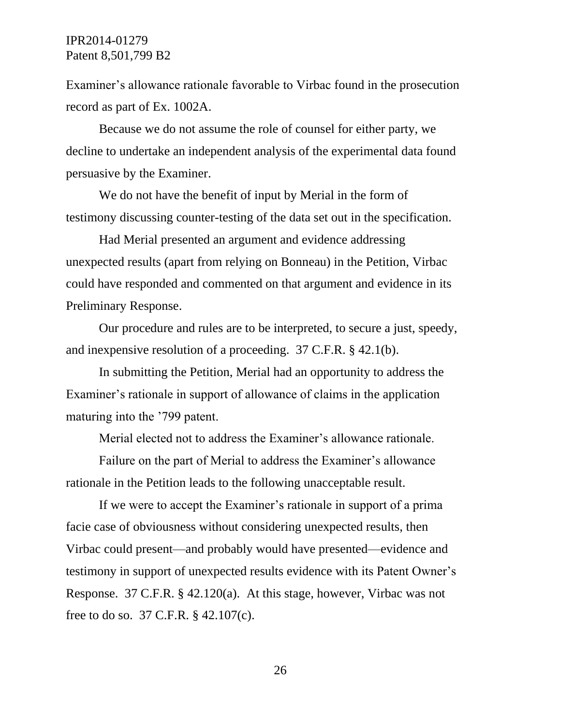Examiner's allowance rationale favorable to Virbac found in the prosecution record as part of Ex. 1002A.

Because we do not assume the role of counsel for either party, we decline to undertake an independent analysis of the experimental data found persuasive by the Examiner.

We do not have the benefit of input by Merial in the form of testimony discussing counter-testing of the data set out in the specification.

Had Merial presented an argument and evidence addressing unexpected results (apart from relying on Bonneau) in the Petition, Virbac could have responded and commented on that argument and evidence in its Preliminary Response.

Our procedure and rules are to be interpreted, to secure a just, speedy, and inexpensive resolution of a proceeding. 37 C.F.R. § 42.1(b).

In submitting the Petition, Merial had an opportunity to address the Examiner's rationale in support of allowance of claims in the application maturing into the '799 patent.

Merial elected not to address the Examiner's allowance rationale.

Failure on the part of Merial to address the Examiner's allowance rationale in the Petition leads to the following unacceptable result.

If we were to accept the Examiner's rationale in support of a prima facie case of obviousness without considering unexpected results, then Virbac could present—and probably would have presented—evidence and testimony in support of unexpected results evidence with its Patent Owner's Response. 37 C.F.R. § 42.120(a). At this stage, however, Virbac was not free to do so. 37 C.F.R. § 42.107(c).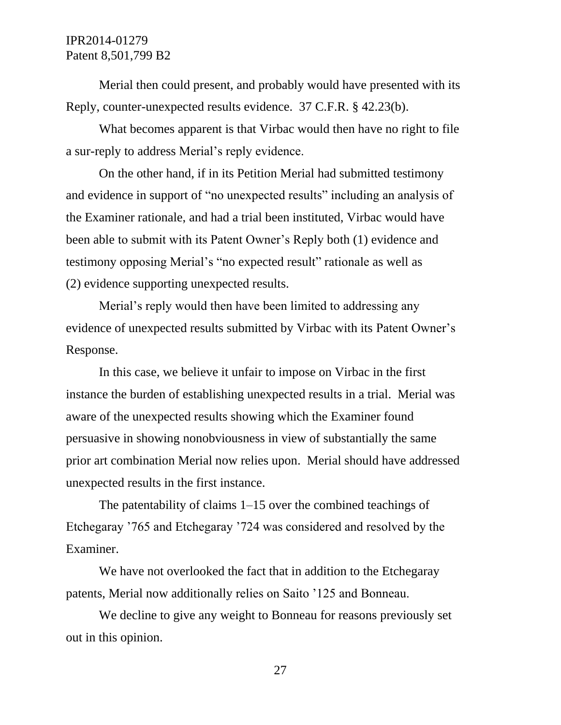Merial then could present, and probably would have presented with its Reply, counter-unexpected results evidence. 37 C.F.R. § 42.23(b).

What becomes apparent is that Virbac would then have no right to file a sur-reply to address Merial's reply evidence.

On the other hand, if in its Petition Merial had submitted testimony and evidence in support of "no unexpected results" including an analysis of the Examiner rationale, and had a trial been instituted, Virbac would have been able to submit with its Patent Owner's Reply both (1) evidence and testimony opposing Merial's "no expected result" rationale as well as (2) evidence supporting unexpected results.

Merial's reply would then have been limited to addressing any evidence of unexpected results submitted by Virbac with its Patent Owner's Response.

In this case, we believe it unfair to impose on Virbac in the first instance the burden of establishing unexpected results in a trial. Merial was aware of the unexpected results showing which the Examiner found persuasive in showing nonobviousness in view of substantially the same prior art combination Merial now relies upon. Merial should have addressed unexpected results in the first instance.

The patentability of claims 1–15 over the combined teachings of Etchegaray '765 and Etchegaray '724 was considered and resolved by the Examiner.

We have not overlooked the fact that in addition to the Etchegaray patents, Merial now additionally relies on Saito '125 and Bonneau.

We decline to give any weight to Bonneau for reasons previously set out in this opinion.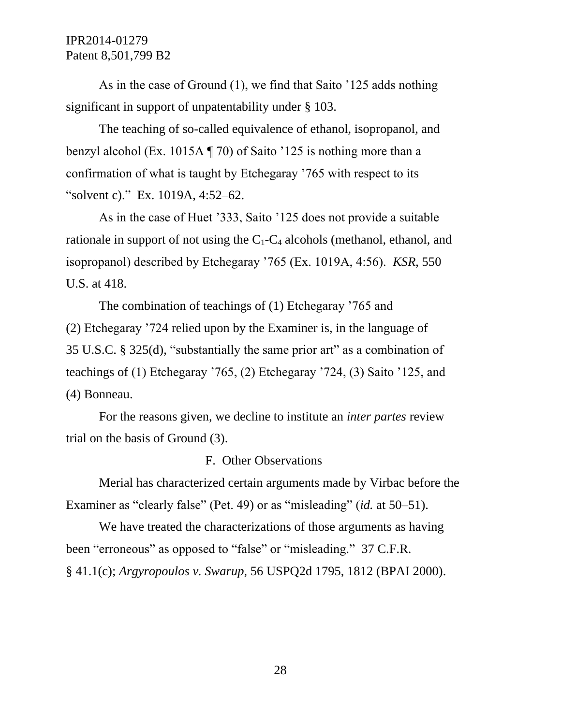As in the case of Ground (1), we find that Saito '125 adds nothing significant in support of unpatentability under § 103.

The teaching of so-called equivalence of ethanol, isopropanol, and benzyl alcohol (Ex. 1015A ¶ 70) of Saito '125 is nothing more than a confirmation of what is taught by Etchegaray '765 with respect to its "solvent c)." Ex. 1019A, 4:52–62.

As in the case of Huet '333, Saito '125 does not provide a suitable rationale in support of not using the  $C_1$ - $C_4$  alcohols (methanol, ethanol, and isopropanol) described by Etchegaray '765 (Ex. 1019A, 4:56). *KSR*, 550 U.S. at 418.

The combination of teachings of (1) Etchegaray '765 and (2) Etchegaray '724 relied upon by the Examiner is, in the language of 35 U.S.C. § 325(d), "substantially the same prior art" as a combination of teachings of (1) Etchegaray '765, (2) Etchegaray '724, (3) Saito '125, and (4) Bonneau.

For the reasons given, we decline to institute an *inter partes* review trial on the basis of Ground (3).

#### F. Other Observations

Merial has characterized certain arguments made by Virbac before the Examiner as "clearly false" (Pet. 49) or as "misleading" (*id.* at 50–51).

We have treated the characterizations of those arguments as having been "erroneous" as opposed to "false" or "misleading." 37 C.F.R. § 41.1(c); *Argyropoulos v. Swarup*, 56 USPQ2d 1795, 1812 (BPAI 2000).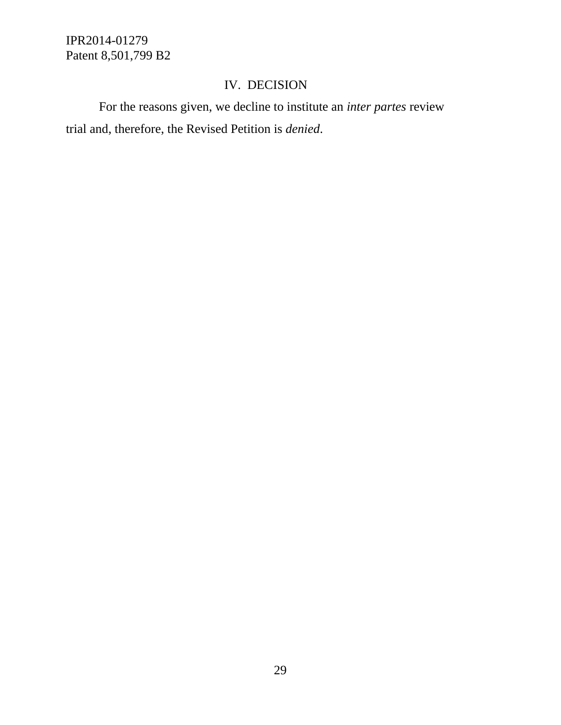# IV. DECISION

For the reasons given, we decline to institute an *inter partes* review trial and, therefore, the Revised Petition is *denied*.